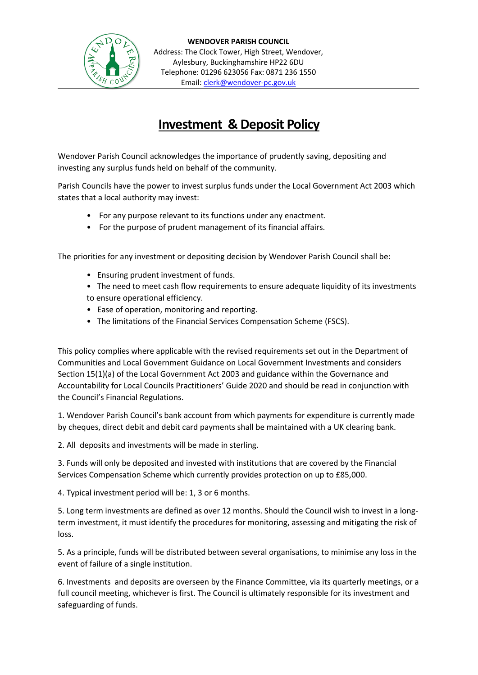

## **Investment & Deposit Policy**

Wendover Parish Council acknowledges the importance of prudently saving, depositing and investing any surplus funds held on behalf of the community.

Parish Councils have the power to invest surplus funds under the Local Government Act 2003 which states that a local authority may invest:

- For any purpose relevant to its functions under any enactment.
- For the purpose of prudent management of its financial affairs.

The priorities for any investment or depositing decision by Wendover Parish Council shall be:

- Ensuring prudent investment of funds.
- The need to meet cash flow requirements to ensure adequate liquidity of its investments to ensure operational efficiency.
- Ease of operation, monitoring and reporting.
- The limitations of the Financial Services Compensation Scheme (FSCS).

This policy complies where applicable with the revised requirements set out in the Department of Communities and Local Government Guidance on Local Government Investments and considers Section 15(1)(a) of the Local Government Act 2003 and guidance within the Governance and Accountability for Local Councils Practitioners' Guide 2020 and should be read in conjunction with the Council's Financial Regulations.

1. Wendover Parish Council's bank account from which payments for expenditure is currently made by cheques, direct debit and debit card payments shall be maintained with a UK clearing bank.

2. All deposits and investments will be made in sterling.

3. Funds will only be deposited and invested with institutions that are covered by the Financial Services Compensation Scheme which currently provides protection on up to £85,000.

4. Typical investment period will be: 1, 3 or 6 months.

5. Long term investments are defined as over 12 months. Should the Council wish to invest in a longterm investment, it must identify the procedures for monitoring, assessing and mitigating the risk of loss.

5. As a principle, funds will be distributed between several organisations, to minimise any loss in the event of failure of a single institution.

6. Investments and deposits are overseen by the Finance Committee, via its quarterly meetings, or a full council meeting, whichever is first. The Council is ultimately responsible for its investment and safeguarding of funds.